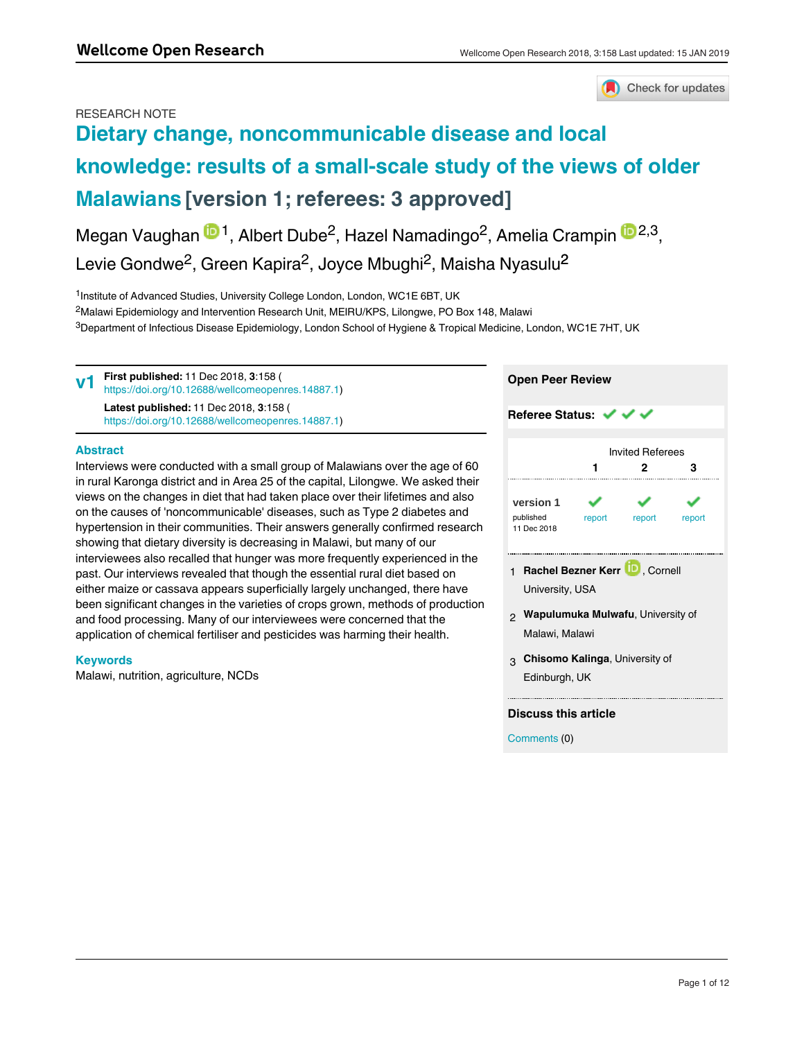### RESEARCH NOTE



# **[Dietary change, noncommunicable disease and local](https://wellcomeopenresearch.org/articles/3-158/v1) [knowledge: results of a small-scale study of the views of older](https://wellcomeopenresearch.org/articles/3-158/v1) [Malawians](https://wellcomeopenresearch.org/articles/3-158/v1) [version 1; referees: 3 approved]**

Megan Vaughan <sup>in 1</sup>, Albert Dube<sup>2</sup>, Hazel Namadingo<sup>2</sup>, Amelia Crampin <sup>in 2,3</sup>, Levie Gondwe<sup>2</sup>, Green Kapira<sup>2</sup>, Joyce Mbughi<sup>2</sup>, Maisha Nyasulu<sup>2</sup>

<sup>1</sup>Institute of Advanced Studies, University College London, London, WC1E 6BT, UK  $^2$ Malawi Epidemiology and Intervention Research Unit, MEIRU/KPS, Lilongwe, PO Box 148, Malawi  $^3$ Department of Infectious Disease Epidemiology, London School of Hygiene & Tropical Medicine, London, WC1E 7HT, UK

**First published:** 11 Dec 2018, **3**:158 ( [https://doi.org/10.12688/wellcomeopenres.14887.1\)](https://doi.org/10.12688/wellcomeopenres.14887.1) **Latest published:** 11 Dec 2018, **3**:158 ( [https://doi.org/10.12688/wellcomeopenres.14887.1\)](https://doi.org/10.12688/wellcomeopenres.14887.1) **v1**

**Abstract**

Interviews were conducted with a small group of Malawians over the age of 60 in rural Karonga district and in Area 25 of the capital, Lilongwe. We asked their views on the changes in diet that had taken place over their lifetimes and also on the causes of 'noncommunicable' diseases, such as Type 2 diabetes and hypertension in their communities. Their answers generally confirmed research showing that dietary diversity is decreasing in Malawi, but many of our interviewees also recalled that hunger was more frequently experienced in the past. Our interviews revealed that though the essential rural diet based on either maize or cassava appears superficially largely unchanged, there have been significant changes in the varieties of crops grown, methods of production and food processing. Many of our interviewees were concerned that the application of chemical fertiliser and pesticides was harming their health.

### **Keywords**

Malawi, nutrition, agriculture, NCDs

| <b>Open Peer Review</b>                                    |                         |        |        |
|------------------------------------------------------------|-------------------------|--------|--------|
| Referee Status: ↓ ↓                                        |                         |        |        |
|                                                            | <b>Invited Referees</b> |        |        |
|                                                            |                         | 2      | з      |
| version 1<br>published<br>11 Dec 2018                      | report                  | report | report |
| 1 Rachel Bezner Kerr <b>D</b> , Cornell<br>University, USA |                         |        |        |
| 2 Wapulumuka Mulwafu, University of<br>Malawi, Malawi      |                         |        |        |

**Chisomo Kalinga**, University of 3 Edinburgh, UK

**Discuss this article**

Comments (0)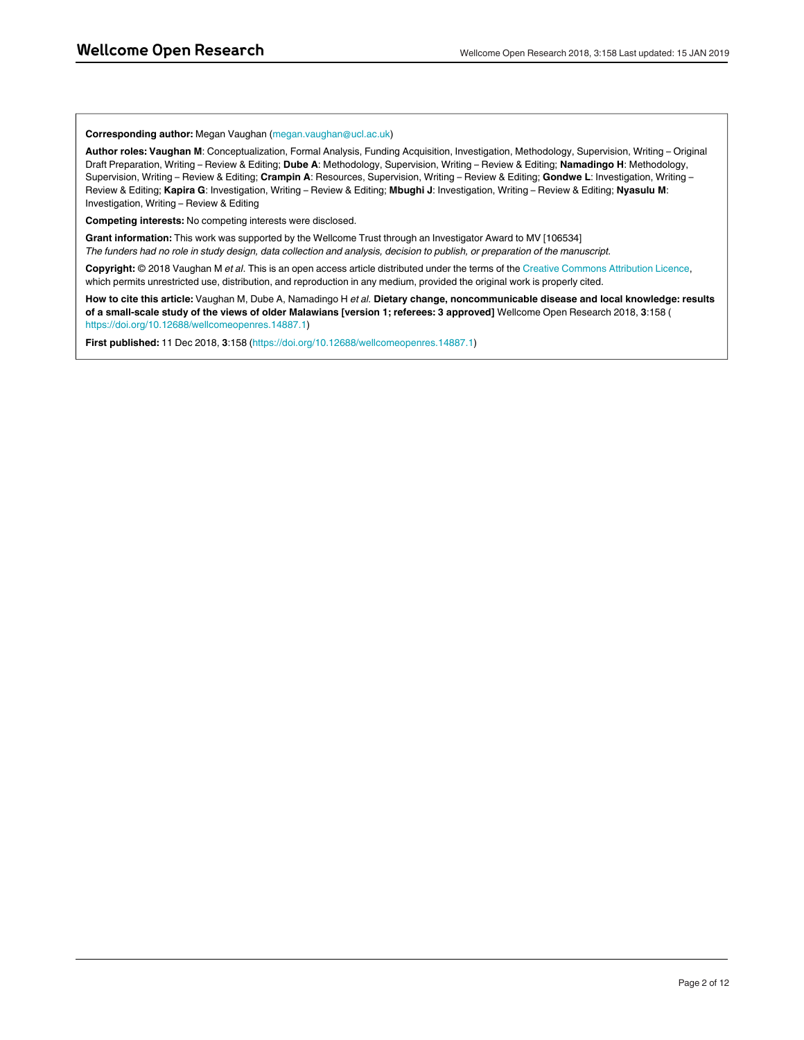#### **Corresponding author:** Megan Vaughan (megan.vaughan@ucl.ac.uk)

**Author roles: Vaughan M**: Conceptualization, Formal Analysis, Funding Acquisition, Investigation, Methodology, Supervision, Writing – Original Draft Preparation, Writing – Review & Editing; **Dube A**: Methodology, Supervision, Writing – Review & Editing; **Namadingo H**: Methodology, Supervision, Writing – Review & Editing; **Crampin A**: Resources, Supervision, Writing – Review & Editing; **Gondwe L**: Investigation, Writing – Review & Editing; **Kapira G**: Investigation, Writing – Review & Editing; **Mbughi J**: Investigation, Writing – Review & Editing; **Nyasulu M**: Investigation, Writing – Review & Editing

**Competing interests:** No competing interests were disclosed.

**Grant information:** This work was supported by the Wellcome Trust through an Investigator Award to MV [106534] *The funders had no role in study design, data collection and analysis, decision to publish, or preparation of the manuscript.*

**Copyright:** © 2018 Vaughan M *et al*. This is an open access article distributed under the terms of the [Creative Commons Attribution Licence](http://creativecommons.org/licenses/by/4.0/), which permits unrestricted use, distribution, and reproduction in any medium, provided the original work is properly cited.

**How to cite this article:** Vaughan M, Dube A, Namadingo H *et al.* **Dietary change, noncommunicable disease and local knowledge: results of a small-scale study of the views of older Malawians [version 1; referees: 3 approved]** Wellcome Open Research 2018, **3**:158 ( [https://doi.org/10.12688/wellcomeopenres.14887.1\)](https://doi.org/10.12688/wellcomeopenres.14887.1)

**First published:** 11 Dec 2018, **3**:158 [\(https://doi.org/10.12688/wellcomeopenres.14887.1\)](https://doi.org/10.12688/wellcomeopenres.14887.1)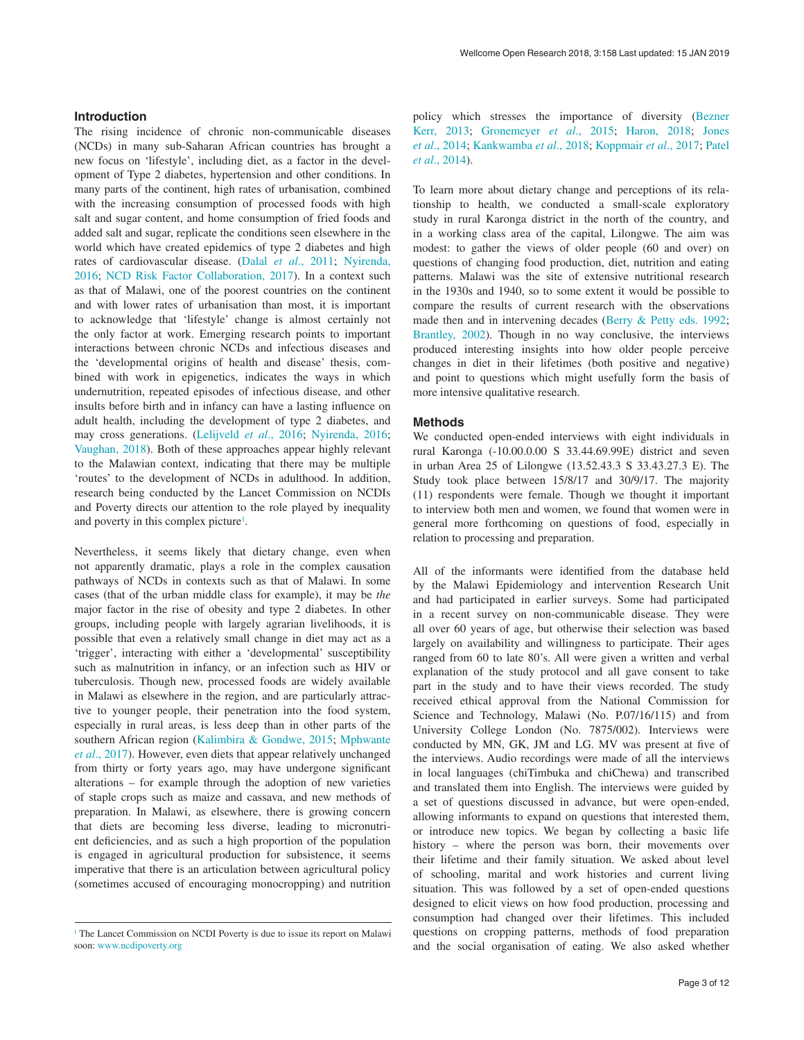#### **Introduction**

The rising incidence of chronic non-communicable diseases (NCDs) in many sub-Saharan African countries has brought a new focus on 'lifestyle', including diet, as a factor in the development of Type 2 diabetes, hypertension and other conditions. In many parts of the continent, high rates of urbanisation, combined with the increasing consumption of processed foods with high salt and sugar content, and home consumption of fried foods and added salt and sugar, replicate the conditions seen elsewhere in the world which have created epidemics of type 2 diabetes and high rates of cardiovascular disease. (Dalal *et al*[., 2011](#page-7-0); [Nyirenda,](#page-7-0)  [2016;](#page-7-0) [NCD Risk Factor Collaboration, 2017](#page-7-0)). In a context such as that of Malawi, one of the poorest countries on the continent and with lower rates of urbanisation than most, it is important to acknowledge that 'lifestyle' change is almost certainly not the only factor at work. Emerging research points to important interactions between chronic NCDs and infectious diseases and the 'developmental origins of health and disease' thesis, combined with work in epigenetics, indicates the ways in which undernutrition, repeated episodes of infectious disease, and other insults before birth and in infancy can have a lasting influence on adult health, including the development of type 2 diabetes, and may cross generations. ([Lelijveld](#page-7-0) *et al*., 2016; [Nyirenda, 2016](#page-7-0); [Vaughan, 2018\).](#page-7-0) Both of these approaches appear highly relevant to the Malawian context, indicating that there may be multiple 'routes' to the development of NCDs in adulthood. In addition, research being conducted by the Lancet Commission on NCDIs and Poverty directs our attention to the role played by inequality and poverty in this complex picture<sup>1</sup>.

Nevertheless, it seems likely that dietary change, even when not apparently dramatic, plays a role in the complex causation pathways of NCDs in contexts such as that of Malawi. In some cases (that of the urban middle class for example), it may be *the* major factor in the rise of obesity and type 2 diabetes. In other groups, including people with largely agrarian livelihoods, it is possible that even a relatively small change in diet may act as a 'trigger', interacting with either a 'developmental' susceptibility such as malnutrition in infancy, or an infection such as HIV or tuberculosis. Though new, processed foods are widely available in Malawi as elsewhere in the region, and are particularly attractive to younger people, their penetration into the food system, especially in rural areas, is less deep than in other parts of the southern African region ([Kalimbira & Gondwe, 2015;](#page-7-0) [Mphwante](#page-7-0)  *et al*[., 2017\).](#page-7-0) However, even diets that appear relatively unchanged from thirty or forty years ago, may have undergone significant alterations – for example through the adoption of new varieties of staple crops such as maize and cassava, and new methods of preparation. In Malawi, as elsewhere, there is growing concern that diets are becoming less diverse, leading to micronutrient deficiencies, and as such a high proportion of the population is engaged in agricultural production for subsistence, it seems imperative that there is an articulation between agricultural policy (sometimes accused of encouraging monocropping) and nutrition

policy which stresses the importance of diversity [\(Bezner](#page-7-0) Kerr, 2013; Gronemeyer *et al*[., 2015; Haron, 2018; Jones](#page-7-0)  *et al*[., 2014; Kankwamba](#page-7-0) *et al*., 2018; Koppmair *et al*., 2017; [Patel](#page-7-0)  *et al*[., 2014](#page-7-0)).

To learn more about dietary change and perceptions of its relationship to health, we conducted a small-scale exploratory study in rural Karonga district in the north of the country, and in a working class area of the capital, Lilongwe. The aim was modest: to gather the views of older people (60 and over) on questions of changing food production, diet, nutrition and eating patterns. Malawi was the site of extensive nutritional research in the 1930s and 1940, so to some extent it would be possible to compare the results of current research with the observations made then and in intervening decades ([Berry & Petty eds. 1992](#page-7-0); [Brantley, 2002\)](#page-7-0). Though in no way conclusive, the interviews produced interesting insights into how older people perceive changes in diet in their lifetimes (both positive and negative) and point to questions which might usefully form the basis of more intensive qualitative research.

#### **Methods**

We conducted open-ended interviews with eight individuals in rural Karonga (-10.00.0.00 S 33.44.69.99E) district and seven in urban Area 25 of Lilongwe (13.52.43.3 S 33.43.27.3 E). The Study took place between 15/8/17 and 30/9/17. The majority (11) respondents were female. Though we thought it important to interview both men and women, we found that women were in general more forthcoming on questions of food, especially in relation to processing and preparation.

All of the informants were identified from the database held by the Malawi Epidemiology and intervention Research Unit and had participated in earlier surveys. Some had participated in a recent survey on non-communicable disease. They were all over 60 years of age, but otherwise their selection was based largely on availability and willingness to participate. Their ages ranged from 60 to late 80's. All were given a written and verbal explanation of the study protocol and all gave consent to take part in the study and to have their views recorded. The study received ethical approval from the National Commission for Science and Technology, Malawi (No. P.07/16/115) and from University College London (No. 7875/002). Interviews were conducted by MN, GK, JM and LG. MV was present at five of the interviews. Audio recordings were made of all the interviews in local languages (chiTimbuka and chiChewa) and transcribed and translated them into English. The interviews were guided by a set of questions discussed in advance, but were open-ended, allowing informants to expand on questions that interested them, or introduce new topics. We began by collecting a basic life history – where the person was born, their movements over their lifetime and their family situation. We asked about level of schooling, marital and work histories and current living situation. This was followed by a set of open-ended questions designed to elicit views on how food production, processing and consumption had changed over their lifetimes. This included questions on cropping patterns, methods of food preparation and the social organisation of eating. We also asked whether

<sup>&</sup>lt;sup>1</sup> The Lancet Commission on NCDI Poverty is due to issue its report on Malawi soon: [www.ncdipoverty.org](http://www.ncdipoverty.org/)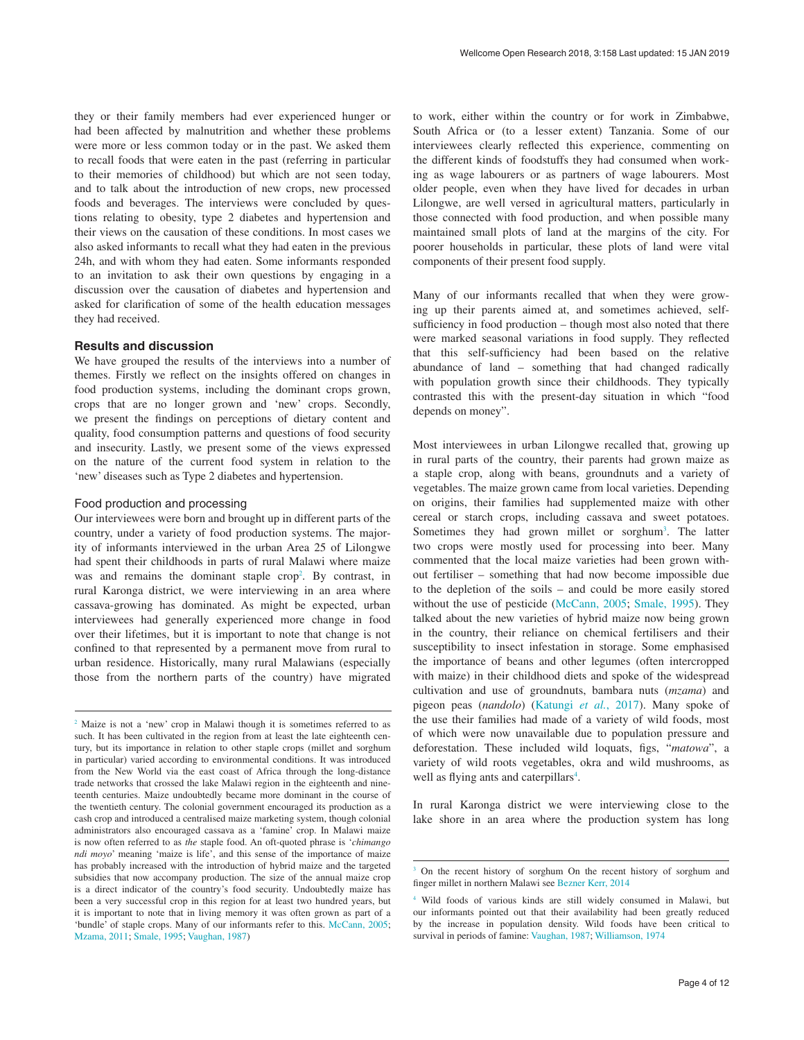they or their family members had ever experienced hunger or had been affected by malnutrition and whether these problems were more or less common today or in the past. We asked them to recall foods that were eaten in the past (referring in particular to their memories of childhood) but which are not seen today, and to talk about the introduction of new crops, new processed foods and beverages. The interviews were concluded by questions relating to obesity, type 2 diabetes and hypertension and their views on the causation of these conditions. In most cases we also asked informants to recall what they had eaten in the previous 24h, and with whom they had eaten. Some informants responded to an invitation to ask their own questions by engaging in a discussion over the causation of diabetes and hypertension and asked for clarification of some of the health education messages they had received.

### **Results and discussion**

We have grouped the results of the interviews into a number of themes. Firstly we reflect on the insights offered on changes in food production systems, including the dominant crops grown, crops that are no longer grown and 'new' crops. Secondly, we present the findings on perceptions of dietary content and quality, food consumption patterns and questions of food security and insecurity. Lastly, we present some of the views expressed on the nature of the current food system in relation to the 'new' diseases such as Type 2 diabetes and hypertension.

### Food production and processing

Our interviewees were born and brought up in different parts of the country, under a variety of food production systems. The majority of informants interviewed in the urban Area 25 of Lilongwe had spent their childhoods in parts of rural Malawi where maize was and remains the dominant staple crop<sup>2</sup>. By contrast, in rural Karonga district, we were interviewing in an area where cassava-growing has dominated. As might be expected, urban interviewees had generally experienced more change in food over their lifetimes, but it is important to note that change is not confined to that represented by a permanent move from rural to urban residence. Historically, many rural Malawians (especially those from the northern parts of the country) have migrated to work, either within the country or for work in Zimbabwe, South Africa or (to a lesser extent) Tanzania. Some of our interviewees clearly reflected this experience, commenting on the different kinds of foodstuffs they had consumed when working as wage labourers or as partners of wage labourers. Most older people, even when they have lived for decades in urban Lilongwe, are well versed in agricultural matters, particularly in those connected with food production, and when possible many maintained small plots of land at the margins of the city. For poorer households in particular, these plots of land were vital components of their present food supply.

Many of our informants recalled that when they were growing up their parents aimed at, and sometimes achieved, selfsufficiency in food production – though most also noted that there were marked seasonal variations in food supply. They reflected that this self-sufficiency had been based on the relative abundance of land – something that had changed radically with population growth since their childhoods. They typically contrasted this with the present-day situation in which "food depends on money".

Most interviewees in urban Lilongwe recalled that, growing up in rural parts of the country, their parents had grown maize as a staple crop, along with beans, groundnuts and a variety of vegetables. The maize grown came from local varieties. Depending on origins, their families had supplemented maize with other cereal or starch crops, including cassava and sweet potatoes. Sometimes they had grown millet or sorghum<sup>3</sup>. The latter two crops were mostly used for processing into beer. Many commented that the local maize varieties had been grown without fertiliser – something that had now become impossible due to the depletion of the soils – and could be more easily stored without the use of pesticide [\(McCann, 2005; Smale, 1995](#page-7-0)). They talked about the new varieties of hybrid maize now being grown in the country, their reliance on chemical fertilisers and their susceptibility to insect infestation in storage. Some emphasised the importance of beans and other legumes (often intercropped with maize) in their childhood diets and spoke of the widespread cultivation and use of groundnuts, bambara nuts (*mzama*) and pigeon peas (*nandolo*) ([Katungi](#page-7-0) *et al.*, 2017). Many spoke of the use their families had made of a variety of wild foods, most of which were now unavailable due to population pressure and deforestation. These included wild loquats, figs, "*matowa*", a variety of wild roots vegetables, okra and wild mushrooms, as well as flying ants and caterpillars<sup>4</sup>.

In rural Karonga district we were interviewing close to the lake shore in an area where the production system has long

<sup>&</sup>lt;sup>2</sup> Maize is not a 'new' crop in Malawi though it is sometimes referred to as such. It has been cultivated in the region from at least the late eighteenth century, but its importance in relation to other staple crops (millet and sorghum in particular) varied according to environmental conditions. It was introduced from the New World via the east coast of Africa through the long-distance trade networks that crossed the lake Malawi region in the eighteenth and nineteenth centuries. Maize undoubtedly became more dominant in the course of the twentieth century. The colonial government encouraged its production as a cash crop and introduced a centralised maize marketing system, though colonial administrators also encouraged cassava as a 'famine' crop. In Malawi maize is now often referred to as *the* staple food. An oft-quoted phrase is '*chimango ndi moyo*' meaning 'maize is life', and this sense of the importance of maize has probably increased with the introduction of hybrid maize and the targeted subsidies that now accompany production. The size of the annual maize crop is a direct indicator of the country's food security. Undoubtedly maize has been a very successful crop in this region for at least two hundred years, but it is important to note that in living memory it was often grown as part of a 'bundle' of staple crops. Many of our informants refer to this. [McCann, 2005;](#page-7-0) [Mzama, 2011; Smale, 1995; Vaughan, 1987\)](#page-7-0)

<sup>&</sup>lt;sup>3</sup> On the recent history of sorghum On the recent history of sorghum and finger millet in northern Malawi see [Bezner Kerr, 2014](#page-7-0)

<sup>4</sup> Wild foods of various kinds are still widely consumed in Malawi, but our informants pointed out that their availability had been greatly reduced by the increase in population density. Wild foods have been critical to survival in periods of famine: [Vaughan, 1987; Williamson, 1974](#page-7-0)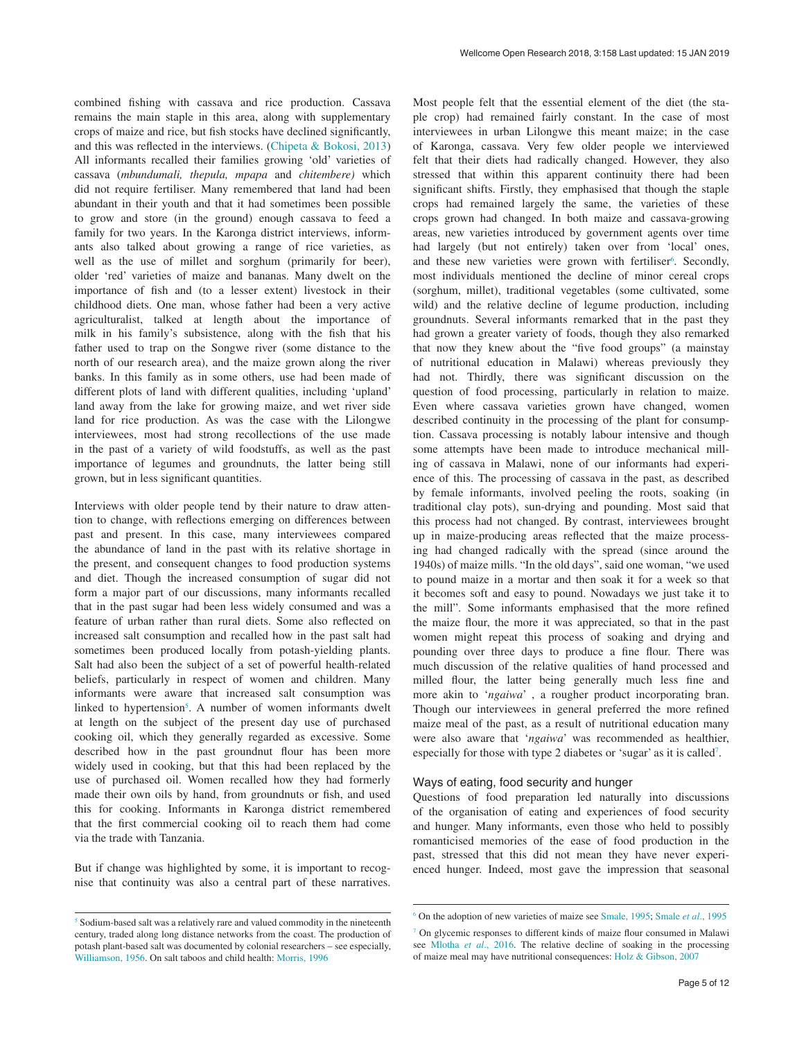combined fishing with cassava and rice production. Cassava remains the main staple in this area, along with supplementary crops of maize and rice, but fish stocks have declined significantly, and this was reflected in the interviews. (Chipeta  $\&$  Bokosi, 2013) All informants recalled their families growing 'old' varieties of cassava (*mbundumali, thepula, mpapa* and *chitembere)* which did not require fertiliser. Many remembered that land had been abundant in their youth and that it had sometimes been possible to grow and store (in the ground) enough cassava to feed a family for two years. In the Karonga district interviews, informants also talked about growing a range of rice varieties, as well as the use of millet and sorghum (primarily for beer), older 'red' varieties of maize and bananas. Many dwelt on the importance of fish and (to a lesser extent) livestock in their childhood diets. One man, whose father had been a very active agriculturalist, talked at length about the importance of milk in his family's subsistence, along with the fish that his father used to trap on the Songwe river (some distance to the north of our research area), and the maize grown along the river banks. In this family as in some others, use had been made of different plots of land with different qualities, including 'upland' land away from the lake for growing maize, and wet river side land for rice production. As was the case with the Lilongwe interviewees, most had strong recollections of the use made in the past of a variety of wild foodstuffs, as well as the past importance of legumes and groundnuts, the latter being still grown, but in less significant quantities.

Interviews with older people tend by their nature to draw attention to change, with reflections emerging on differences between past and present. In this case, many interviewees compared the abundance of land in the past with its relative shortage in the present, and consequent changes to food production systems and diet. Though the increased consumption of sugar did not form a major part of our discussions, many informants recalled that in the past sugar had been less widely consumed and was a feature of urban rather than rural diets. Some also reflected on increased salt consumption and recalled how in the past salt had sometimes been produced locally from potash-yielding plants. Salt had also been the subject of a set of powerful health-related beliefs, particularly in respect of women and children. Many informants were aware that increased salt consumption was linked to hypertension<sup>5</sup>. A number of women informants dwelt at length on the subject of the present day use of purchased cooking oil, which they generally regarded as excessive. Some described how in the past groundnut flour has been more widely used in cooking, but that this had been replaced by the use of purchased oil. Women recalled how they had formerly made their own oils by hand, from groundnuts or fish, and used this for cooking. Informants in Karonga district remembered that the first commercial cooking oil to reach them had come via the trade with Tanzania.

But if change was highlighted by some, it is important to recognise that continuity was also a central part of these narratives.

Most people felt that the essential element of the diet (the staple crop) had remained fairly constant. In the case of most interviewees in urban Lilongwe this meant maize; in the case of Karonga, cassava. Very few older people we interviewed felt that their diets had radically changed. However, they also stressed that within this apparent continuity there had been significant shifts. Firstly, they emphasised that though the staple crops had remained largely the same, the varieties of these crops grown had changed. In both maize and cassava-growing areas, new varieties introduced by government agents over time had largely (but not entirely) taken over from 'local' ones, and these new varieties were grown with fertiliser<sup>6</sup>. Secondly, most individuals mentioned the decline of minor cereal crops (sorghum, millet), traditional vegetables (some cultivated, some wild) and the relative decline of legume production, including groundnuts. Several informants remarked that in the past they had grown a greater variety of foods, though they also remarked that now they knew about the "five food groups" (a mainstay of nutritional education in Malawi) whereas previously they had not. Thirdly, there was significant discussion on the question of food processing, particularly in relation to maize. Even where cassava varieties grown have changed, women described continuity in the processing of the plant for consumption. Cassava processing is notably labour intensive and though some attempts have been made to introduce mechanical milling of cassava in Malawi, none of our informants had experience of this. The processing of cassava in the past, as described by female informants, involved peeling the roots, soaking (in traditional clay pots), sun-drying and pounding. Most said that this process had not changed. By contrast, interviewees brought up in maize-producing areas reflected that the maize processing had changed radically with the spread (since around the 1940s) of maize mills. "In the old days", said one woman, "we used to pound maize in a mortar and then soak it for a week so that it becomes soft and easy to pound. Nowadays we just take it to the mill". Some informants emphasised that the more refined the maize flour, the more it was appreciated, so that in the past women might repeat this process of soaking and drying and pounding over three days to produce a fine flour. There was much discussion of the relative qualities of hand processed and milled flour, the latter being generally much less fine and more akin to '*ngaiwa*' , a rougher product incorporating bran. Though our interviewees in general preferred the more refined maize meal of the past, as a result of nutritional education many were also aware that '*ngaiwa*' was recommended as healthier, especially for those with type 2 diabetes or 'sugar' as it is called<sup>7</sup>.

### Ways of eating, food security and hunger

Questions of food preparation led naturally into discussions of the organisation of eating and experiences of food security and hunger. Many informants, even those who held to possibly romanticised memories of the ease of food production in the past, stressed that this did not mean they have never experienced hunger. Indeed, most gave the impression that seasonal

<sup>5</sup> Sodium-based salt was a relatively rare and valued commodity in the nineteenth century, traded along long distance networks from the coast. The production of potash plant-based salt was documented by colonial researchers – see especially, [Williamson, 1956](#page-7-0). On salt taboos and child health: [Morris, 1996](#page-7-0)

<sup>6</sup> On the adoption of new varieties of maize see [Smale, 1995; Smale](#page-7-0) *et al*., 1995

<sup>7</sup> On glycemic responses to different kinds of maize flour consumed in Malawi see [Mlotha](#page-7-0) *et al*., 2016. The relative decline of soaking in the processing of maize meal may have nutritional consequences: [Holz & Gibson, 2007](#page-7-0)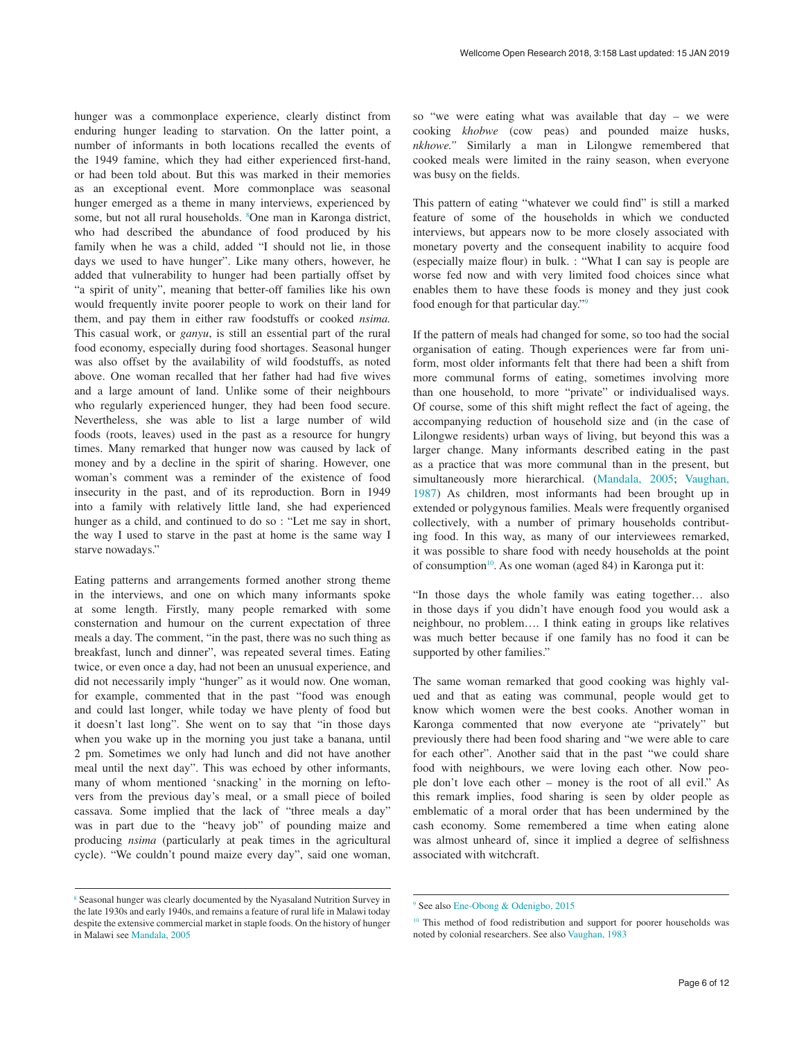hunger was a commonplace experience, clearly distinct from enduring hunger leading to starvation. On the latter point, a number of informants in both locations recalled the events of the 1949 famine, which they had either experienced first-hand, or had been told about. But this was marked in their memories as an exceptional event. More commonplace was seasonal hunger emerged as a theme in many interviews, experienced by some, but not all rural households. <sup>8</sup>One man in Karonga district, who had described the abundance of food produced by his family when he was a child, added "I should not lie, in those days we used to have hunger". Like many others, however, he added that vulnerability to hunger had been partially offset by "a spirit of unity", meaning that better-off families like his own would frequently invite poorer people to work on their land for them, and pay them in either raw foodstuffs or cooked *nsima.* This casual work, or *ganyu*, is still an essential part of the rural food economy, especially during food shortages. Seasonal hunger was also offset by the availability of wild foodstuffs, as noted above. One woman recalled that her father had had five wives and a large amount of land. Unlike some of their neighbours who regularly experienced hunger, they had been food secure. Nevertheless, she was able to list a large number of wild foods (roots, leaves) used in the past as a resource for hungry times. Many remarked that hunger now was caused by lack of money and by a decline in the spirit of sharing. However, one woman's comment was a reminder of the existence of food insecurity in the past, and of its reproduction. Born in 1949 into a family with relatively little land, she had experienced hunger as a child, and continued to do so : "Let me say in short, the way I used to starve in the past at home is the same way I starve nowadays."

Eating patterns and arrangements formed another strong theme in the interviews, and one on which many informants spoke at some length. Firstly, many people remarked with some consternation and humour on the current expectation of three meals a day. The comment, "in the past, there was no such thing as breakfast, lunch and dinner", was repeated several times. Eating twice, or even once a day, had not been an unusual experience, and did not necessarily imply "hunger" as it would now. One woman, for example, commented that in the past "food was enough and could last longer, while today we have plenty of food but it doesn't last long". She went on to say that "in those days when you wake up in the morning you just take a banana, until 2 pm. Sometimes we only had lunch and did not have another meal until the next day". This was echoed by other informants, many of whom mentioned 'snacking' in the morning on leftovers from the previous day's meal, or a small piece of boiled cassava. Some implied that the lack of "three meals a day" was in part due to the "heavy job" of pounding maize and producing *nsima* (particularly at peak times in the agricultural cycle). "We couldn't pound maize every day", said one woman,

so "we were eating what was available that day – we were cooking *khobwe* (cow peas) and pounded maize husks, *nkhowe."* Similarly a man in Lilongwe remembered that cooked meals were limited in the rainy season, when everyone was busy on the fields.

This pattern of eating "whatever we could find" is still a marked feature of some of the households in which we conducted interviews, but appears now to be more closely associated with monetary poverty and the consequent inability to acquire food (especially maize flour) in bulk. : "What I can say is people are worse fed now and with very limited food choices since what enables them to have these foods is money and they just cook food enough for that particular day."9

If the pattern of meals had changed for some, so too had the social organisation of eating. Though experiences were far from uniform, most older informants felt that there had been a shift from more communal forms of eating, sometimes involving more than one household, to more "private" or individualised ways. Of course, some of this shift might reflect the fact of ageing, the accompanying reduction of household size and (in the case of Lilongwe residents) urban ways of living, but beyond this was a larger change. Many informants described eating in the past as a practice that was more communal than in the present, but simultaneously more hierarchical. ([Mandala, 2005](#page-7-0); [Vaughan,](#page-7-0)  [1987\)](#page-7-0) As children, most informants had been brought up in extended or polygynous families. Meals were frequently organised collectively, with a number of primary households contributing food. In this way, as many of our interviewees remarked, it was possible to share food with needy households at the point of consumption<sup>10</sup>. As one woman (aged 84) in Karonga put it:

"In those days the whole family was eating together… also in those days if you didn't have enough food you would ask a neighbour, no problem…. I think eating in groups like relatives was much better because if one family has no food it can be supported by other families."

The same woman remarked that good cooking was highly valued and that as eating was communal, people would get to know which women were the best cooks. Another woman in Karonga commented that now everyone ate "privately" but previously there had been food sharing and "we were able to care for each other". Another said that in the past "we could share food with neighbours, we were loving each other. Now people don't love each other – money is the root of all evil." As this remark implies, food sharing is seen by older people as emblematic of a moral order that has been undermined by the cash economy. Some remembered a time when eating alone was almost unheard of, since it implied a degree of selfishness associated with witchcraft.

<sup>8</sup> Seasonal hunger was clearly documented by the Nyasaland Nutrition Survey in the late 1930s and early 1940s, and remains a feature of rural life in Malawi today despite the extensive commercial market in staple foods. On the history of hunger in Malawi see [Mandala, 2005](#page-7-0)

<sup>9</sup> See also [Ene-Obong & Odenigbo, 2015](#page-7-0)

<sup>&</sup>lt;sup>10</sup> This method of food redistribution and support for poorer households was noted by colonial researchers. See also [Vaughan, 1983](#page-7-0)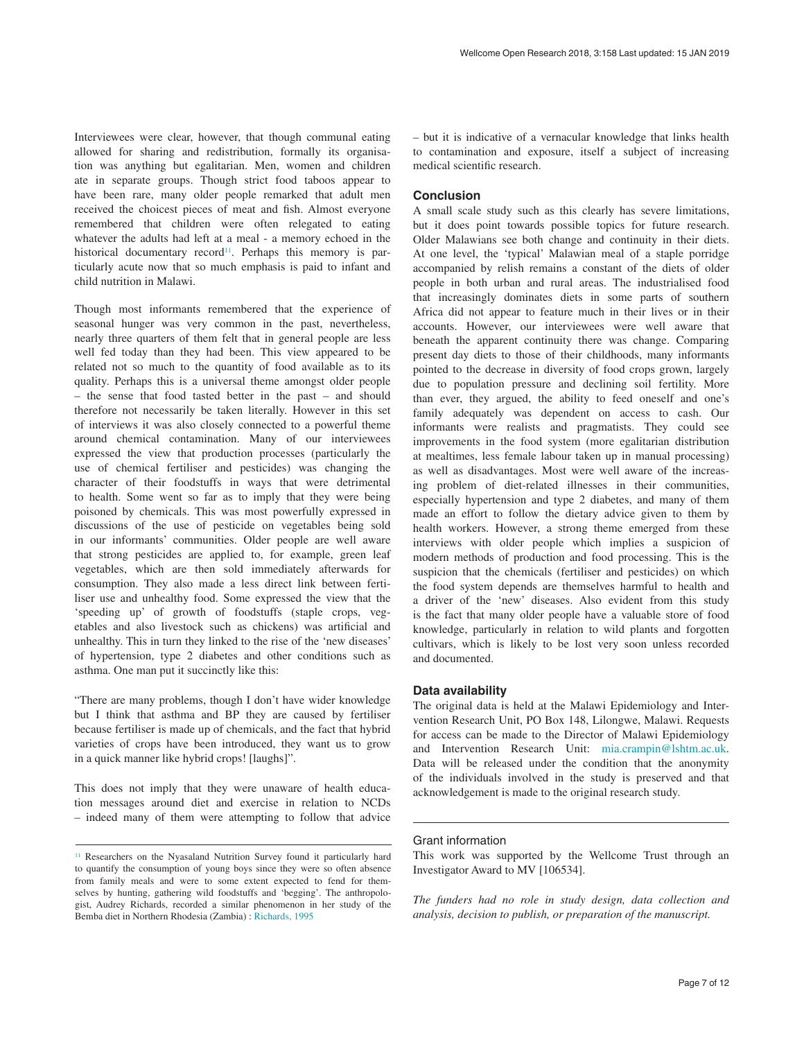Interviewees were clear, however, that though communal eating allowed for sharing and redistribution, formally its organisation was anything but egalitarian. Men, women and children ate in separate groups. Though strict food taboos appear to have been rare, many older people remarked that adult men received the choicest pieces of meat and fish. Almost everyone remembered that children were often relegated to eating whatever the adults had left at a meal - a memory echoed in the historical documentary record<sup>11</sup>. Perhaps this memory is particularly acute now that so much emphasis is paid to infant and child nutrition in Malawi.

Though most informants remembered that the experience of seasonal hunger was very common in the past, nevertheless, nearly three quarters of them felt that in general people are less well fed today than they had been. This view appeared to be related not so much to the quantity of food available as to its quality. Perhaps this is a universal theme amongst older people – the sense that food tasted better in the past – and should therefore not necessarily be taken literally. However in this set of interviews it was also closely connected to a powerful theme around chemical contamination. Many of our interviewees expressed the view that production processes (particularly the use of chemical fertiliser and pesticides) was changing the character of their foodstuffs in ways that were detrimental to health. Some went so far as to imply that they were being poisoned by chemicals. This was most powerfully expressed in discussions of the use of pesticide on vegetables being sold in our informants' communities. Older people are well aware that strong pesticides are applied to, for example, green leaf vegetables, which are then sold immediately afterwards for consumption. They also made a less direct link between fertiliser use and unhealthy food. Some expressed the view that the 'speeding up' of growth of foodstuffs (staple crops, vegetables and also livestock such as chickens) was artificial and unhealthy. This in turn they linked to the rise of the 'new diseases' of hypertension, type 2 diabetes and other conditions such as asthma. One man put it succinctly like this:

"There are many problems, though I don't have wider knowledge but I think that asthma and BP they are caused by fertiliser because fertiliser is made up of chemicals, and the fact that hybrid varieties of crops have been introduced, they want us to grow in a quick manner like hybrid crops! [laughs]".

This does not imply that they were unaware of health education messages around diet and exercise in relation to NCDs – indeed many of them were attempting to follow that advice – but it is indicative of a vernacular knowledge that links health to contamination and exposure, itself a subject of increasing medical scientific research.

### **Conclusion**

A small scale study such as this clearly has severe limitations, but it does point towards possible topics for future research. Older Malawians see both change and continuity in their diets. At one level, the 'typical' Malawian meal of a staple porridge accompanied by relish remains a constant of the diets of older people in both urban and rural areas. The industrialised food that increasingly dominates diets in some parts of southern Africa did not appear to feature much in their lives or in their accounts. However, our interviewees were well aware that beneath the apparent continuity there was change. Comparing present day diets to those of their childhoods, many informants pointed to the decrease in diversity of food crops grown, largely due to population pressure and declining soil fertility. More than ever, they argued, the ability to feed oneself and one's family adequately was dependent on access to cash. Our informants were realists and pragmatists. They could see improvements in the food system (more egalitarian distribution at mealtimes, less female labour taken up in manual processing) as well as disadvantages. Most were well aware of the increasing problem of diet-related illnesses in their communities, especially hypertension and type 2 diabetes, and many of them made an effort to follow the dietary advice given to them by health workers. However, a strong theme emerged from these interviews with older people which implies a suspicion of modern methods of production and food processing. This is the suspicion that the chemicals (fertiliser and pesticides) on which the food system depends are themselves harmful to health and a driver of the 'new' diseases. Also evident from this study is the fact that many older people have a valuable store of food knowledge, particularly in relation to wild plants and forgotten cultivars, which is likely to be lost very soon unless recorded and documented.

### **Data availability**

The original data is held at the Malawi Epidemiology and Intervention Research Unit, PO Box 148, Lilongwe, Malawi. Requests for access can be made to the Director of Malawi Epidemiology and Intervention Research Unit: [mia.crampin@lshtm.ac.uk](mailto:mia.crampin@lshtm.ac.uk). Data will be released under the condition that the anonymity of the individuals involved in the study is preserved and that acknowledgement is made to the original research study.

#### Grant information

<sup>&</sup>lt;sup>11</sup> Researchers on the Nyasaland Nutrition Survey found it particularly hard to quantify the consumption of young boys since they were so often absence from family meals and were to some extent expected to fend for themselves by hunting, gathering wild foodstuffs and 'begging'. The anthropologist, Audrey Richards, recorded a similar phenomenon in her study of the Bemba diet in Northern Rhodesia (Zambia) : [Richards, 1995](#page-7-0)

This work was supported by the Wellcome Trust through an Investigator Award to MV [106534].

*The funders had no role in study design, data collection and analysis, decision to publish, or preparation of the manuscript.*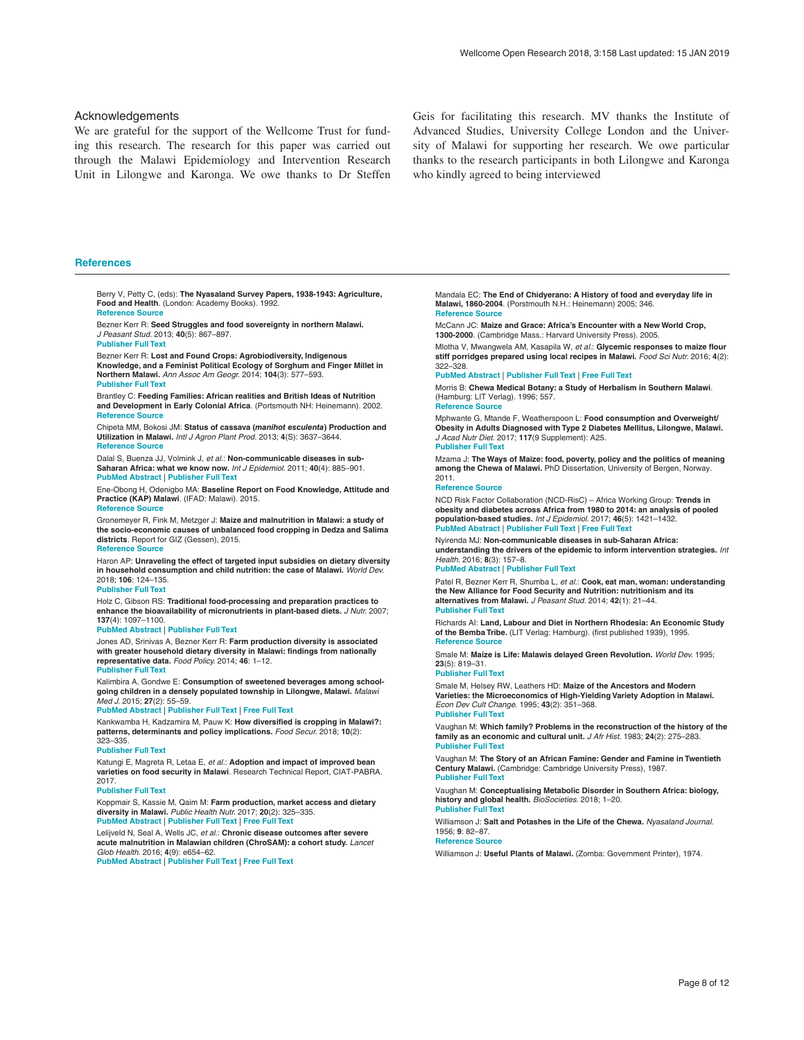#### <span id="page-7-0"></span>Acknowledgements

We are grateful for the support of the Wellcome Trust for funding this research. The research for this paper was carried out through the Malawi Epidemiology and Intervention Research Unit in Lilongwe and Karonga. We owe thanks to Dr Steffen

Geis for facilitating this research. MV thanks the Institute of Advanced Studies, University College London and the University of Malawi for supporting her research. We owe particular thanks to the research participants in both Lilongwe and Karonga who kindly agreed to being interviewed

#### **References**

Berry V, Petty C, (eds): **The Nyasaland Survey Papers, 1938-1943: Agriculture, Food and Health**. (London: Academy Books). 1992. **[Reference Source](http://agris.fao.org/agris-search/search.do?recordID=GB9400349)**

Bezner Kerr R: **Seed Struggles and food sovereignty in northern Malawi.** *J Peasant Stud.* 2013; **40**(5): 867–897. **[Publisher Full Text](http://dx.doi.org/10.1080/03066150.2013.848428)**

Bezner Kerr R: **Lost and Found Crops: Agrobiodiversity, Indigenous Knowledge, and a Feminist Political Ecology of Sorghum and Finger Millet in Northern Malawi.** *Ann Assoc Am Geogr.* 2014; **104**(3): 577–593. **[Publisher Full Text](http://dx.doi.org/10.1080/00045608.2014.892346)**

Brantley C: **Feeding Families: African realities and British Ideas of Nutrition and Development in Early Colonial Africa**. (Portsmouth NH: Heinemann). 2002. **[Reference Source](https://books.google.co.in/books?id=OB50QgAACAAJ&dq=Feeding Families: African realities and British Ideas of Nutrition and Development in Early Colonial Africa&source=gbs_book_other_versions)**

Chipeta MM, Bokosi JM: **Status of cassava (***manihot esculenta***) Production and Utilization in Malawi.** *Intl J Agron Plant Prod.* 2013; **4**(S): 3637–3644. **[Reference Source](https://www.researchgate.net/publication/301199984_Status_of_cassava_Manihot_esculenta_production_and_utilization_in_Malawi)**

Dalal S, Buenza JJ, Volmink J, *et al.*: **Non-communicable diseases in sub-Saharan Africa: what we know now.** *Int J Epidemiol.* 2011; **40**(4): 885–901. **[PubMed Abstract](http://www.ncbi.nlm.nih.gov/pubmed/21527446)** | **[Publisher Full Text](http://dx.doi.org/10.1093/ije/dyr050)**

Ene-Obong H, Odenigbo MA: **Baseline Report on Food Knowledge, Attitude and Practice (KAP) Malawi**. (IFAD: Malawi). 2015. **[Reference Source](https://operations.ifad.org/documents/654016/fa985734-e605-47b0-a8ca-0acffc8f26d2)**

Gronemeyer R, Fink M, Metzger J: **Maize and malnutrition in Malawi: a study of the socio-economic causes of unbalanced food cropping in Dedza and Salima districts**. Report for GIZ (Gessen), 2015. **[Reference Source](http://reimergronemeyer.de/wp-content/uploads/2015/12/Malawi-E.pdf)**

Haron AP: **Unraveling the effect of targeted input subsidies on dietary diversity in household consumption and child nutrition: the case of Malawi.** *World Dev.* 2018; **106**: 124–135.

#### **[Publisher Full Text](http://dx.doi.org/10.1016/j.worlddev.2018.01.011)**

Holz C, Gibson RS: **Traditional food-processing and preparation practices to enhance the bioavailability of micronutrients in plant-based diets.** *J Nutr.* 2007; **137**(4): 1097–1100.

#### **[PubMed Abstract](http://www.ncbi.nlm.nih.gov/pubmed/17374686)** | **[Publisher Full Text](http://dx.doi.org/10.1093/jn/137.4.1097)**

Jones AD, Srinivas A, Bezner Kerr R: **Farm production diversity is associated with greater household dietary diversity in Malawi: findings from nationally representative data.** *Food Policy.* 2014; **46**: 1–12. **[Publisher Full Text](http://dx.doi.org/10.1016/j.foodpol.2014.02.001)**

Kalimbira A, Gondwe E: **Consumption of sweetened beverages among schoolgoing children in a densely populated township in Lilongwe, Malawi.** *Malawi Med J.* 2015; **27**(2): 55–59.

#### **[PubMed Abstract](http://www.ncbi.nlm.nih.gov/pubmed/26405513)** | **[Publisher Full Text](http://dx.doi.org/10.4314/mmj.v27i2.5)** | **[Free Full Text](http://www.ncbi.nlm.nih.gov/pmc/articles/4562081)**

Kankwamba H, Kadzamira M, Pauw K: **How diversified is cropping in Malawi?: patterns, determinants and policy implications.** *Food Secur.* 2018; **10**(2): 323–335.

#### **[Publisher Full Text](http://dx.doi.org/10.1007/s12571-018-0771-x)**

Katungi E, Magreta R, Letaa E, *et al.*: **Adoption and impact of improved bean varieties on food security in Malawi**. Research Technical Report, CIAT-PABRA. 2017.

#### **[Publisher Full Text](http://dx.doi.org/10.13140/RG.2.2.27281.94562)**

Koppmair S, Kassie M, Qaim M: **Farm production, market access and dietary diversity in Malawi.** *Public Health Nutr.* 2017; **20**(2): 325–335. **[PubMed Abstract](http://www.ncbi.nlm.nih.gov/pubmed/27609557)** | **[Publisher Full Text](http://dx.doi.org/10.1017/S1368980016002135)** | **[Free Full Text](http://www.ncbi.nlm.nih.gov/pmc/articles/5244442)**

Lelijveld N, Seal A, Wells JC, *et al.*: **Chronic disease outcomes after severe acute malnutrition in Malawian children (ChroSAM): a cohort study.** *Lancet Glob Health.* 2016; **4**(9): e654–62.

**[PubMed Abstract](http://www.ncbi.nlm.nih.gov/pubmed/27470174)** | **[Publisher Full Text](http://dx.doi.org/10.1016/S2214-109X(16)30133-4)** | **[Free Full Text](http://www.ncbi.nlm.nih.gov/pmc/articles/4985564)**

Mandala EC: **The End of Chidyerano: A History of food and everyday life in Malawi, 1860-2004**. (Porstmouth N.H.: Heinemann) 2005; 346. **[Reference Source](https://books.google.co.in/books/about/The_end_of_Chidyerano.html?id=fMVyAAAAMAAJ&redir_esc=y)**

McCann JC: **Maize and Grace: Africa's Encounter with a New World Crop, 1300-2000**. (Cambridge Mass.: Harvard University Press). 2005.

Mlotha V, Mwangwela AM, Kasapila W, *et al.*: **Glycemic responses to maize flour stiff porridges prepared using local recipes in Malawi.** *Food Sci Nutr.* 2016; **4**(2): 322–328.

**[PubMed Abstract](http://www.ncbi.nlm.nih.gov/pubmed/27004122)** | **[Publisher Full Text](http://dx.doi.org/10.1002/fsn3.293)** | **[Free Full Text](http://www.ncbi.nlm.nih.gov/pmc/articles/4779488)**

Morris B: **Chewa Medical Botany: a Study of Herbalism in Southern Malawi**. (Hamburg: LIT Verlag). 1996; 557.

#### **[Reference Source](https://searchworks.stanford.edu/view/3782669)**

Mphwante G, Mtande F, Weatherspoon L: **Food consumption and Overweight/ Obesity in Adults Diagnosed with Type 2 Diabetes Mellitus, Lilongwe, Malawi.** *J Acad Nutr Diet.* 2017; **117**(9 Supplement): A25. **[Publisher Full Text](http://dx.doi.org/10.1016/j.jand.2017.06.249)**

Mzama J: **The Ways of Maize: food, poverty, policy and the politics of meaning among the Chewa of Malawi.** PhD Dissertation, University of Bergen, Norway. 2011.

#### **[Reference Source](https://www.cmi.no/publications/4517-the-ways-of-maize-food-poverty)**

NCD Risk Factor Collaboration (NCD-RisC) – Africa Working Group: **Trends in obesity and diabetes across Africa from 1980 to 2014: an analysis of pooled population-based studies.** *Int J Epidemiol.* 2017; **46**(5): 1421–1432. **[PubMed Abstract](http://www.ncbi.nlm.nih.gov/pubmed/28582528)** | **[Publisher Full Text](http://dx.doi.org/10.1093/ije/dyx078)** | **[Free Full Text](http://www.ncbi.nlm.nih.gov/pmc/articles/5837192)**

Nyirenda MJ: **Non-communicable diseases in sub-Saharan Africa: understanding the drivers of the epidemic to inform intervention strategies.** *Int* 

#### *Health.* 2016; **8**(3): 157–8. **[PubMed Abstract](http://www.ncbi.nlm.nih.gov/pubmed/27178673)** | **[Publisher Full Text](http://dx.doi.org/10.1093/inthealth/ihw021)**

Patel R, Bezner Kerr R, Shumba L, *et al.*: **Cook, eat man, woman: understanding the New Alliance for Food Security and Nutrition: nutritionism and its alternatives from Malawi.** *J Peasant Stud.* 2014; **42**(1): 21–44. **[Publisher Full Text](http://dx.doi.org/10.1080/03066150.2014.971767)**

Richards AI: **Land, Labour and Diet in Northern Rhodesia: An Economic Study of the Bemba Tribe.** (LIT Verlag: Hamburg). (first published 1939), 1995. **[Reference Source](https://books.google.co.in/books?id=s9GIGi8cKZ8C&printsec=frontcover&dq=Land,+Labour+and+Diet+in+Northern+Rhodesia:+An+Economic+Study+of+the+Bemba+Tribe&hl=en&sa=X&ved=0ahUKEwjVy4fs4IjfAhUYSo8KHds9B0kQ6AEIKDAA#v=onepage&q=Land, Labour and Diet in Northern Rhodesia An Economic Study of the Bemba Tribe&f=false)**

Smale M: **Maize is Life: Malawis delayed Green Revolution.** *World Dev.* 1995; **23**(5): 819–31.

#### **[Publisher Full Text](http://dx.doi.org/10.1016/0305-750X(95)00013-3)**

Smale M, Helsey RW, Leathers HD: **Maize of the Ancestors and Modern Varieties: the Microeconomics of High-Yielding Variety Adoption in Malawi.** *Econ Dev Cult Change.* 1995; **43**(2): 351–368. **[Publisher Full Text](http://dx.doi.org/10.1086/452154)**

Vaughan M: **Which family? Problems in the reconstruction of the history of the family as an economic and cultural unit.** *J Afr Hist.* 1983; **24**(2): 275–283. **[Publisher Full Text](http://dx.doi.org/10.1017/S0021853700021988)**

Vaughan M: **The Story of an African Famine: Gender and Famine in Twentieth Century Malawi.** (Cambridge: Cambridge University Press), 1987. **[Publisher Full Text](http://dx.doi.org/10.1017/CBO9780511549885)**

Vaughan M: **Conceptualising Metabolic Disorder in Southern Africa: biology, history and global health.** *BioSocieties.* 2018; 1–20. **[Publisher Full Text](http://dx.doi.org/10.1057/s41292-018-0122-3)**

Williamson J: **Salt and Potashes in the Life of the Chewa.** *Nyasaland Journal.* 1956; **9**: 82–87.

**[Reference Source](https://siris-libraries.si.edu/ipac20/ipac.jsp?uri=full=3100001~!788408!0)**

Williamson J: **Useful Plants of Malawi.** (Zomba: Government Printer), 1974.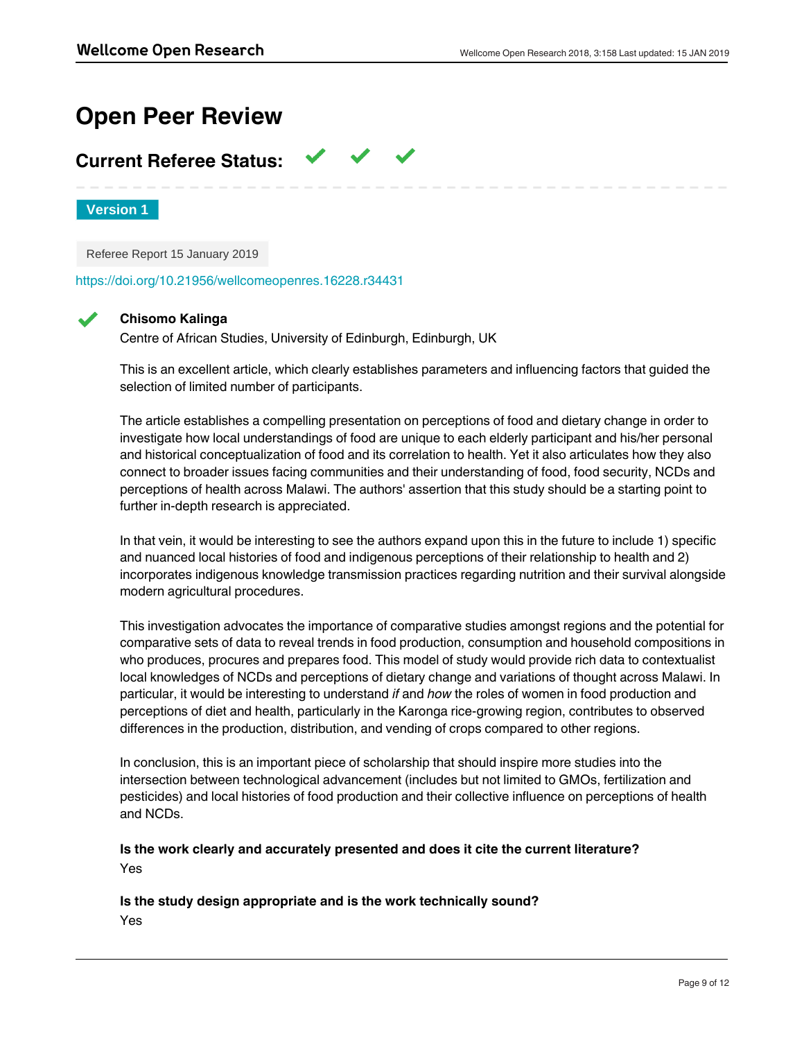# **Open Peer Review**

## **Current Referee Status:**

**Version 1**

Referee Report 15 January 2019

<https://doi.org/10.21956/wellcomeopenres.16228.r34431>

## **Chisomo Kalinga**

Centre of African Studies, University of Edinburgh, Edinburgh, UK

This is an excellent article, which clearly establishes parameters and influencing factors that guided the selection of limited number of participants.

The article establishes a compelling presentation on perceptions of food and dietary change in order to investigate how local understandings of food are unique to each elderly participant and his/her personal and historical conceptualization of food and its correlation to health. Yet it also articulates how they also connect to broader issues facing communities and their understanding of food, food security, NCDs and perceptions of health across Malawi. The authors' assertion that this study should be a starting point to further in-depth research is appreciated.

In that vein, it would be interesting to see the authors expand upon this in the future to include 1) specific and nuanced local histories of food and indigenous perceptions of their relationship to health and 2) incorporates indigenous knowledge transmission practices regarding nutrition and their survival alongside modern agricultural procedures.

This investigation advocates the importance of comparative studies amongst regions and the potential for comparative sets of data to reveal trends in food production, consumption and household compositions in who produces, procures and prepares food. This model of study would provide rich data to contextualist local knowledges of NCDs and perceptions of dietary change and variations of thought across Malawi. In particular, it would be interesting to understand *if* and *how* the roles of women in food production and perceptions of diet and health, particularly in the Karonga rice-growing region, contributes to observed differences in the production, distribution, and vending of crops compared to other regions.

In conclusion, this is an important piece of scholarship that should inspire more studies into the intersection between technological advancement (includes but not limited to GMOs, fertilization and pesticides) and local histories of food production and their collective influence on perceptions of health and NCDs.

**Is the work clearly and accurately presented and does it cite the current literature?** Yes

**Are sufficient details of methods and analysis provided to allow replication by others?**

**Is the study design appropriate and is the work technically sound?** Yes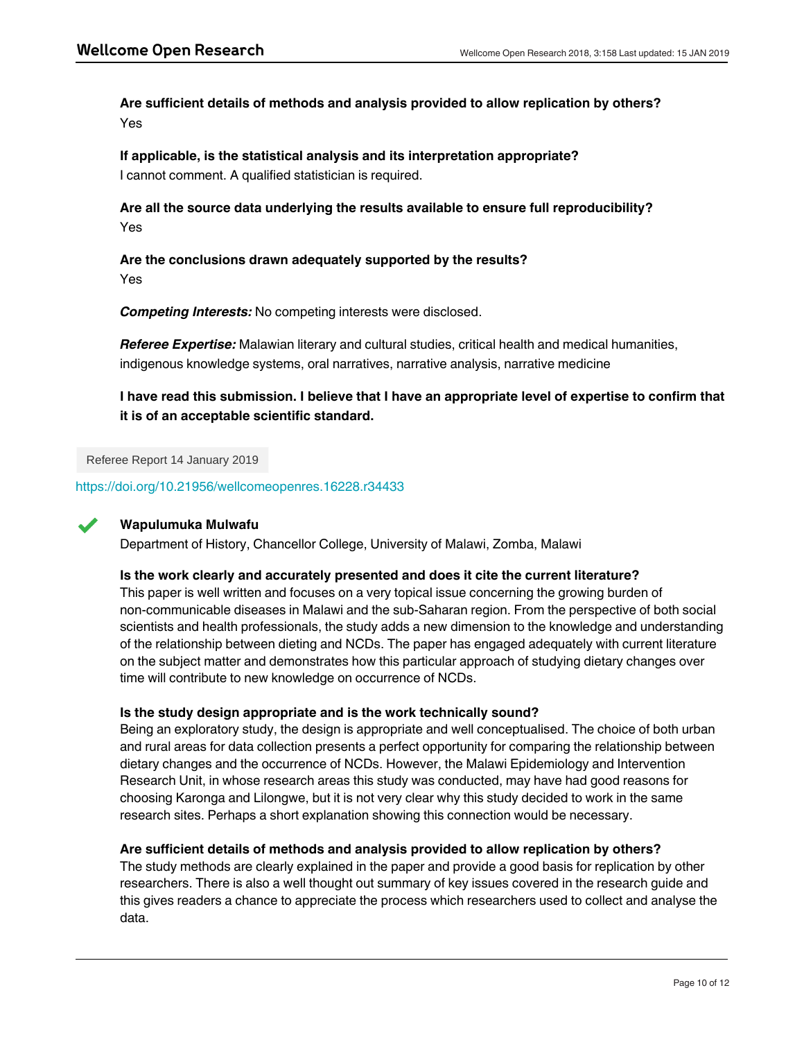**Are sufficient details of methods and analysis provided to allow replication by others?** Yes

**If applicable, is the statistical analysis and its interpretation appropriate?** I cannot comment. A qualified statistician is required.

**Are all the source data underlying the results available to ensure full reproducibility?** Yes

**Are the conclusions drawn adequately supported by the results?** Yes

*Competing Interests:* No competing interests were disclosed.

*Referee Expertise:* Malawian literary and cultural studies, critical health and medical humanities, indigenous knowledge systems, oral narratives, narrative analysis, narrative medicine

**I have read this submission. I believe that I have an appropriate level of expertise to confirm that it is of an acceptable scientific standard.**

Referee Report 14 January 2019

<https://doi.org/10.21956/wellcomeopenres.16228.r34433>



### **Wapulumuka Mulwafu**

Department of History, Chancellor College, University of Malawi, Zomba, Malawi

### **Is the work clearly and accurately presented and does it cite the current literature?**

This paper is well written and focuses on a very topical issue concerning the growing burden of non-communicable diseases in Malawi and the sub-Saharan region. From the perspective of both social scientists and health professionals, the study adds a new dimension to the knowledge and understanding of the relationship between dieting and NCDs. The paper has engaged adequately with current literature on the subject matter and demonstrates how this particular approach of studying dietary changes over time will contribute to new knowledge on occurrence of NCDs.

### **Is the study design appropriate and is the work technically sound?**

Being an exploratory study, the design is appropriate and well conceptualised. The choice of both urban and rural areas for data collection presents a perfect opportunity for comparing the relationship between dietary changes and the occurrence of NCDs. However, the Malawi Epidemiology and Intervention Research Unit, in whose research areas this study was conducted, may have had good reasons for choosing Karonga and Lilongwe, but it is not very clear why this study decided to work in the same research sites. Perhaps a short explanation showing this connection would be necessary.

### **Are sufficient details of methods and analysis provided to allow replication by others?**

**If applicable, is the statistical analysis and its interpretation appropriate?**

The study methods are clearly explained in the paper and provide a good basis for replication by other researchers. There is also a well thought out summary of key issues covered in the research guide and this gives readers a chance to appreciate the process which researchers used to collect and analyse the data.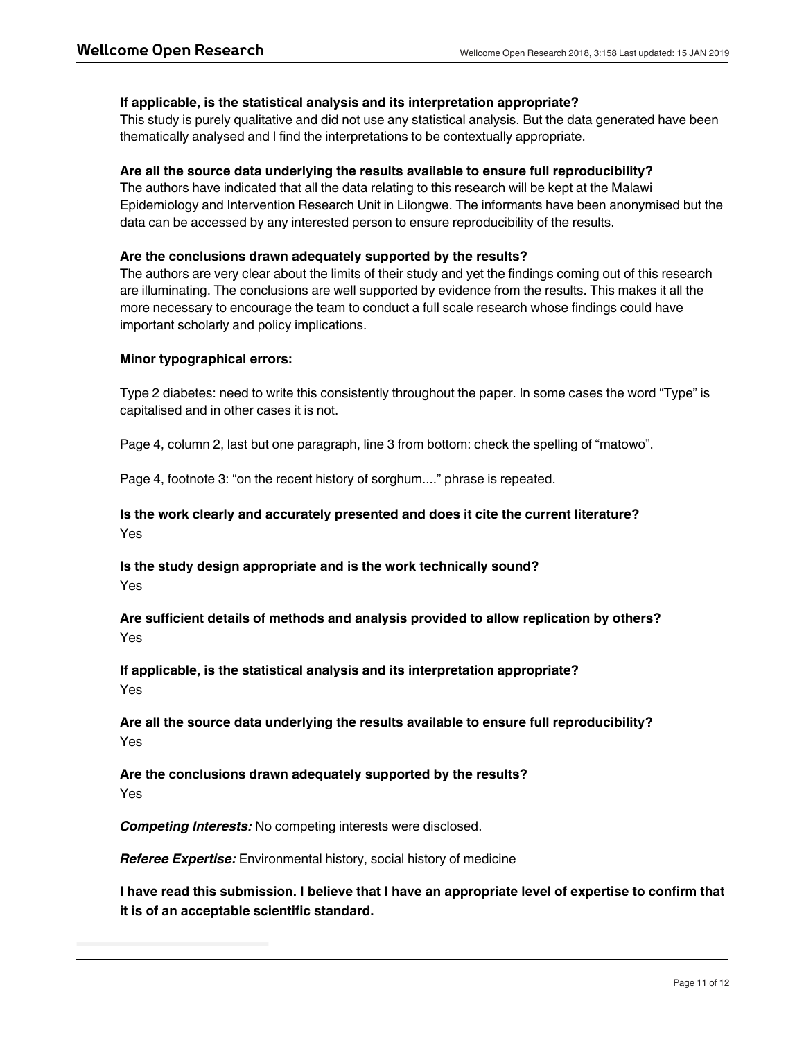### **If applicable, is the statistical analysis and its interpretation appropriate?**

This study is purely qualitative and did not use any statistical analysis. But the data generated have been thematically analysed and I find the interpretations to be contextually appropriate.

### **Are all the source data underlying the results available to ensure full reproducibility?**

The authors have indicated that all the data relating to this research will be kept at the Malawi Epidemiology and Intervention Research Unit in Lilongwe. The informants have been anonymised but the data can be accessed by any interested person to ensure reproducibility of the results.

### **Are the conclusions drawn adequately supported by the results?**

The authors are very clear about the limits of their study and yet the findings coming out of this research are illuminating. The conclusions are well supported by evidence from the results. This makes it all the more necessary to encourage the team to conduct a full scale research whose findings could have important scholarly and policy implications.

### **Minor typographical errors:**

Type 2 diabetes: need to write this consistently throughout the paper. In some cases the word "Type" is capitalised and in other cases it is not.

Page 4, column 2, last but one paragraph, line 3 from bottom: check the spelling of "matowo".

Page 4, footnote 3: "on the recent history of sorghum...." phrase is repeated.

## **Is the work clearly and accurately presented and does it cite the current literature?** Yes

**Is the study design appropriate and is the work technically sound?** Yes

**Are sufficient details of methods and analysis provided to allow replication by others?** Yes

**If applicable, is the statistical analysis and its interpretation appropriate?** Yes

**Are all the source data underlying the results available to ensure full reproducibility?** Yes

**Are the conclusions drawn adequately supported by the results?** Yes

*Competing Interests:* No competing interests were disclosed.

*Referee Expertise:* Environmental history, social history of medicine

**I have read this submission. I believe that I have an appropriate level of expertise to confirm that it is of an acceptable scientific standard.**